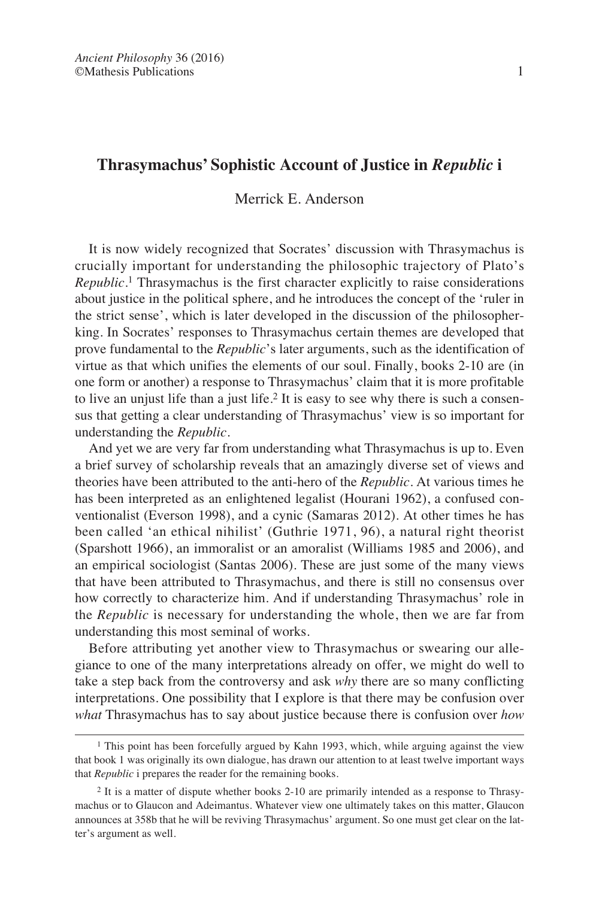# **Thrasymachus' Sophistic Account of Justice in** *Republic* **i**

## Merrick E. Anderson

It is now widely recognized that Socrates' discussion with Thrasymachus is crucially important for understanding the philosophic trajectory of Plato's *Republic*. <sup>1</sup> Thrasymachus is the first character explicitly to raise considerations about justice in the political sphere, and he introduces the concept of the 'ruler in the strict sense', which is later developed in the discussion of the philosopherking. In Socrates' responses to Thrasymachus certain themes are developed that prove fundamental to the *Republic*'s later arguments, such as the identification of virtue as that which unifies the elements of our soul. Finally, books 2-10 are (in one form or another) a response to Thrasymachus' claim that it is more profitable to live an unjust life than a just life.<sup>2</sup> It is easy to see why there is such a consensus that getting a clear understanding of Thrasymachus' view is so important for understanding the *Republic*.

And yet we are very far from understanding what Thrasymachus is up to. Even a brief survey of scholarship reveals that an amazingly diverse set of views and theories have been attributed to the anti-hero of the *Republic*. At various times he has been interpreted as an enlightened legalist (Hourani 1962), a confused conventionalist (Everson 1998), and a cynic (Samaras 2012). At other times he has been called 'an ethical nihilist' (Guthrie 1971, 96), a natural right theorist (Sparshott 1966), an immoralist or an amoralist (Williams 1985 and 2006), and an empirical sociologist (Santas 2006). These are just some of the many views that have been attributed to Thrasymachus, and there is still no consensus over how correctly to characterize him. And if understanding Thrasymachus' role in the *Republic* is necessary for understanding the whole, then we are far from understanding this most seminal of works.

Before attributing yet another view to Thrasymachus or swearing our allegiance to one of the many interpretations already on offer, we might do well to take a step back from the controversy and ask *why* there are so many conflicting interpretations. One possibility that I explore is that there may be confusion over *what* Thrasymachus has to say about justice because there is confusion over *how*

<sup>&</sup>lt;sup>1</sup> This point has been forcefully argued by Kahn 1993, which, while arguing against the view that book 1 was originally its own dialogue, has drawn our attention to at least twelve important ways that *Republic* i prepares the reader for the remaining books.

<sup>2</sup> It is a matter of dispute whether books 2-10 are primarily intended as a response to Thrasymachus or to Glaucon and Adeimantus. Whatever view one ultimately takes on this matter, Glaucon announces at 358b that he will be reviving Thrasymachus' argument. So one must get clear on the latter's argument as well.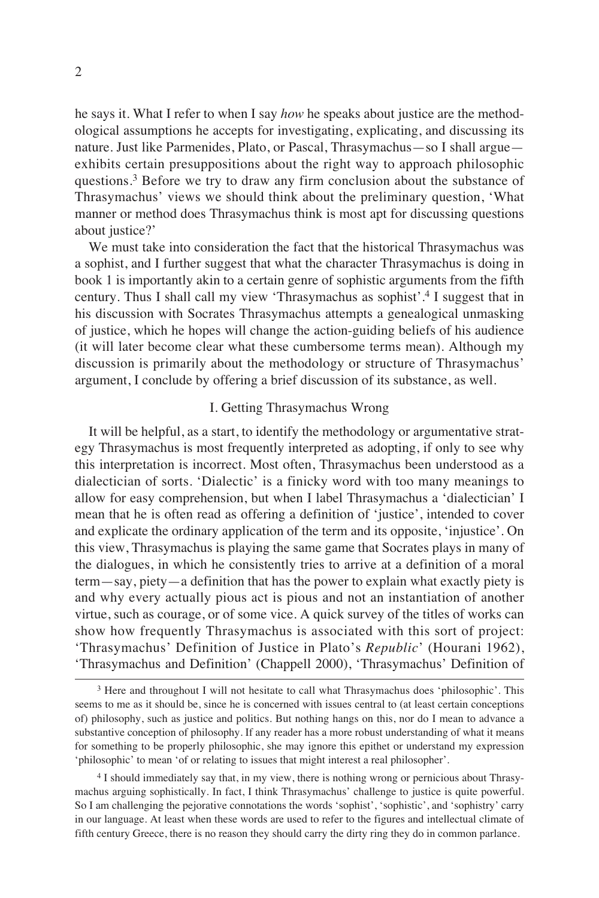he says it. What I refer to when I say *how* he speaks about justice are the methodological assumptions he accepts for investigating, explicating, and discussing its nature. Just like Parmenides, Plato, or Pascal, Thrasymachus—so I shall argue exhibits certain presuppositions about the right way to approach philosophic questions.<sup>3</sup> Before we try to draw any firm conclusion about the substance of Thrasymachus' views we should think about the preliminary question, 'What manner or method does Thrasymachus think is most apt for discussing questions about justice?'

We must take into consideration the fact that the historical Thrasymachus was a sophist, and I further suggest that what the character Thrasymachus is doing in book 1 is importantly akin to a certain genre of sophistic arguments from the fifth century. Thus I shall call my view 'Thrasymachus as sophist'.<sup>4</sup> I suggest that in his discussion with Socrates Thrasymachus attempts a genealogical unmasking of justice, which he hopes will change the action-guiding beliefs of his audience (it will later become clear what these cumbersome terms mean). Although my discussion is primarily about the methodology or structure of Thrasymachus' argument, I conclude by offering a brief discussion of its substance, as well.

### I. Getting Thrasymachus Wrong

It will be helpful, as a start, to identify the methodology or argumentative strategy Thrasymachus is most frequently interpreted as adopting, if only to see why this interpretation is incorrect. Most often, Thrasymachus been understood as a dialectician of sorts. 'Dialectic' is a finicky word with too many meanings to allow for easy comprehension, but when I label Thrasymachus a 'dialectician' I mean that he is often read as offering a definition of 'justice', intended to cover and explicate the ordinary application of the term and its opposite, 'injustice'. On this view, Thrasymachus is playing the same game that Socrates plays in many of the dialogues, in which he consistently tries to arrive at a definition of a moral term—say, piety—a definition that has the power to explain what exactly piety is and why every actually pious act is pious and not an instantiation of another virtue, such as courage, or of some vice. A quick survey of the titles of works can show how frequently Thrasymachus is associated with this sort of project: 'Thrasymachus' Definition of Justice in Plato's *Republic*' (Hourani 1962), 'Thrasymachus and Definition' (Chappell 2000), 'Thrasymachus' Definition of

<sup>3</sup> Here and throughout I will not hesitate to call what Thrasymachus does 'philosophic'. This seems to me as it should be, since he is concerned with issues central to (at least certain conceptions of) philosophy, such as justice and politics. But nothing hangs on this, nor do I mean to advance a substantive conception of philosophy. If any reader has a more robust understanding of what it means for something to be properly philosophic, she may ignore this epithet or understand my expression 'philosophic' to mean 'of or relating to issues that might interest a real philosopher'.

<sup>4</sup> I should immediately say that, in my view, there is nothing wrong or pernicious about Thrasymachus arguing sophistically. In fact, I think Thrasymachus' challenge to justice is quite powerful. So I am challenging the pejorative connotations the words 'sophist', 'sophistic', and 'sophistry' carry in our language. At least when these words are used to refer to the figures and intellectual climate of fifth century Greece, there is no reason they should carry the dirty ring they do in common parlance.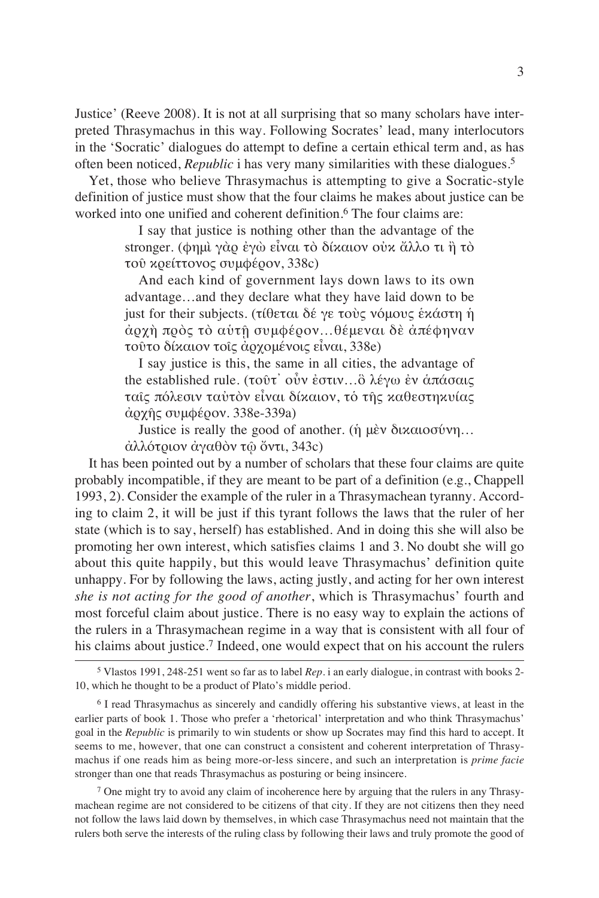Justice' (Reeve 2008). It is not at all surprising that so many scholars have interpreted Thrasymachus in this way. Following Socrates' lead, many interlocutors in the 'Socratic' dialogues do attempt to define a certain ethical term and, as has often been noticed, *Republic* i has very many similarities with these dialogues.<sup>5</sup>

Yet, those who believe Thrasymachus is attempting to give a Socratic-style definition of justice must show that the four claims he makes about justice can be worked into one unified and coherent definition.<sup>6</sup> The four claims are:

> I say that justice is nothing other than the advantage of the stronger. (φημὶ γὰρ ἐγὼ εἶναι τὸ δίκαιον οὐκ ἄλλο τι ἢ τὸ τοῦ κρείττονος συμφέρον, 338c)

> And each kind of government lays down laws to its own advantage…and they declare what they have laid down to be just for their subjects. (τίθεται δέ γε τοὺς νόμους ἑκάστη ἡ ἀρχὴ πρὸς τὸ αὑτῇ συμφέρον…θέμεναι δὲ ἀπέφηναν τοῦτο δίκαιον τοῖς ἀρχομένοις εἶναι, 338e)

> I say justice is this, the same in all cities, the advantage of the established rule. (τοῦτ᾽ οὖν ἐστιν…ὃ λέγω ἐν ἁπάσαις ταῖς πόλεσιν ταὐτὸν εἶναι δίκαιον, τὁ τῆς καθεστηκυίας ἀρχῆς συμφέρον. 338e-339a)

Justice is really the good of another. (ἡ μὲν δικαιοσύνη…

ἀλλότριον ἀγαθὸν τῷ ὄντι, 343c)

It has been pointed out by a number of scholars that these four claims are quite probably incompatible, if they are meant to be part of a definition (e.g., Chappell 1993, 2). Consider the example of the ruler in a Thrasymachean tyranny. According to claim 2, it will be just if this tyrant follows the laws that the ruler of her state (which is to say, herself) has established. And in doing this she will also be promoting her own interest, which satisfies claims 1 and 3. No doubt she will go about this quite happily, but this would leave Thrasymachus' definition quite unhappy. For by following the laws, acting justly, and acting for her own interest *she is not acting for the good of another*, which is Thrasymachus' fourth and most forceful claim about justice. There is no easy way to explain the actions of the rulers in a Thrasymachean regime in a way that is consistent with all four of his claims about justice.<sup>7</sup> Indeed, one would expect that on his account the rulers

 $<sup>7</sup>$  One might try to avoid any claim of incoherence here by arguing that the rulers in any Thrasy-</sup> machean regime are not considered to be citizens of that city. If they are not citizens then they need not follow the laws laid down by themselves, in which case Thrasymachus need not maintain that the rulers both serve the interests of the ruling class by following their laws and truly promote the good of

<sup>5</sup> Vlastos 1991, 248-251 went so far as to label *Rep.* i an early dialogue, in contrast with books 2- 10, which he thought to be a product of Plato's middle period.

<sup>6</sup> I read Thrasymachus as sincerely and candidly offering his substantive views, at least in the earlier parts of book 1. Those who prefer a 'rhetorical' interpretation and who think Thrasymachus' goal in the *Republic* is primarily to win students or show up Socrates may find this hard to accept. It seems to me, however, that one can construct a consistent and coherent interpretation of Thrasymachus if one reads him as being more-or-less sincere, and such an interpretation is *prime facie* stronger than one that reads Thrasymachus as posturing or being insincere.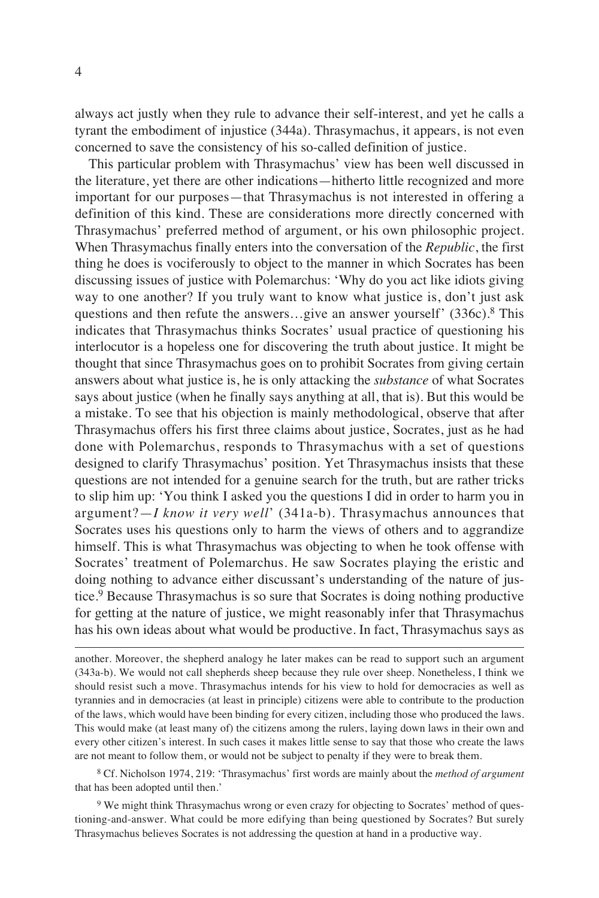always act justly when they rule to advance their self-interest, and yet he calls a tyrant the embodiment of injustice (344a). Thrasymachus, it appears, is not even concerned to save the consistency of his so-called definition of justice.

This particular problem with Thrasymachus' view has been well discussed in the literature, yet there are other indications—hitherto little recognized and more important for our purposes—that Thrasymachus is not interested in offering a definition of this kind. These are considerations more directly concerned with Thrasymachus' preferred method of argument, or his own philosophic project. When Thrasymachus finally enters into the conversation of the *Republic*, the first thing he does is vociferously to object to the manner in which Socrates has been discussing issues of justice with Polemarchus: 'Why do you act like idiots giving way to one another? If you truly want to know what justice is, don't just ask questions and then refute the answers…give an answer yourself' (336c).<sup>8</sup> This indicates that Thrasymachus thinks Socrates' usual practice of questioning his interlocutor is a hopeless one for discovering the truth about justice. It might be thought that since Thrasymachus goes on to prohibit Socrates from giving certain answers about what justice is, he is only attacking the *substance* of what Socrates says about justice (when he finally says anything at all, that is). But this would be a mistake. To see that his objection is mainly methodological, observe that after Thrasymachus offers his first three claims about justice, Socrates, just as he had done with Polemarchus, responds to Thrasymachus with a set of questions designed to clarify Thrasymachus' position. Yet Thrasymachus insists that these questions are not intended for a genuine search for the truth, but are rather tricks to slip him up: 'You think I asked you the questions I did in order to harm you in argument?—*I know it very well*' (341a-b). Thrasymachus announces that Socrates uses his questions only to harm the views of others and to aggrandize himself. This is what Thrasymachus was objecting to when he took offense with Socrates' treatment of Polemarchus. He saw Socrates playing the eristic and doing nothing to advance either discussant's understanding of the nature of justice.<sup>9</sup> Because Thrasymachus is so sure that Socrates is doing nothing productive for getting at the nature of justice, we might reasonably infer that Thrasymachus has his own ideas about what would be productive. In fact, Thrasymachus says as

another. Moreover, the shepherd analogy he later makes can be read to support such an argument (343a-b). We would not call shepherds sheep because they rule over sheep. Nonetheless, I think we should resist such a move. Thrasymachus intends for his view to hold for democracies as well as tyrannies and in democracies (at least in principle) citizens were able to contribute to the production of the laws, which would have been binding for every citizen, including those who produced the laws. This would make (at least many of) the citizens among the rulers, laying down laws in their own and every other citizen's interest. In such cases it makes little sense to say that those who create the laws are not meant to follow them, or would not be subject to penalty if they were to break them.

<sup>8</sup> Cf. Nicholson 1974, 219: 'Thrasymachus' first words are mainly about the *method of argument* that has been adopted until then.'

<sup>9</sup> We might think Thrasymachus wrong or even crazy for objecting to Socrates' method of questioning-and-answer. What could be more edifying than being questioned by Socrates? But surely Thrasymachus believes Socrates is not addressing the question at hand in a productive way.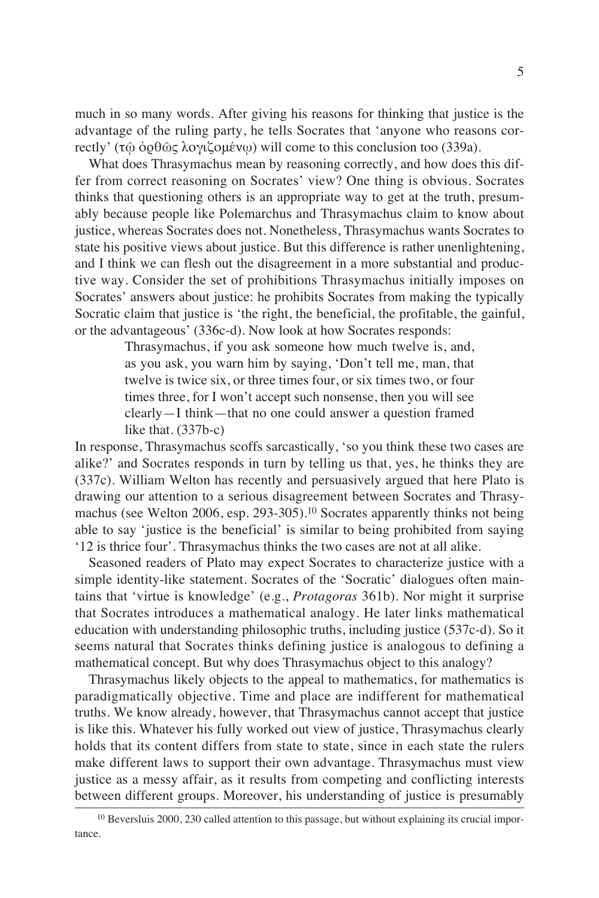much in so many words. After giving his reasons for thinking that justice is the advantage of the ruling party, he tells Socrates that 'anyone who reasons correctly' (τῷ ὀρθῶς λογιζομένῳ) will come to this conclusion too (339a).

What does Thrasymachus mean by reasoning correctly, and how does this differ from correct reasoning on Socrates' view? One thing is obvious. Socrates thinks that questioning others is an appropriate way to get at the truth, presumably because people like Polemarchus and Thrasymachus claim to know about justice, whereas Socrates does not. Nonetheless, Thrasymachus wants Socrates to state his positive views about justice. But this difference is rather unenlightening, and I think we can flesh out the disagreement in a more substantial and productive way. Consider the set of prohibitions Thrasymachus initially imposes on Socrates' answers about justice: he prohibits Socrates from making the typically Socratic claim that justice is 'the right, the beneficial, the profitable, the gainful, or the advantageous' (336c-d). Now look at how Socrates responds:

> Thrasymachus, if you ask someone how much twelve is, and, as you ask, you warn him by saying, 'Don't tell me, man, that twelve is twice six, or three times four, or six times two, or four times three, for I won't accept such nonsense, then you will see clearly—I think—that no one could answer a question framed like that. (337b-c)

In response, Thrasymachus scoffs sarcastically, 'so you think these two cases are alike?' and Socrates responds in turn by telling us that, yes, he thinks they are (337c). William Welton has recently and persuasively argued that here Plato is drawing our attention to a serious disagreement between Socrates and Thrasymachus (see Welton 2006, esp. 293-305).<sup>10</sup> Socrates apparently thinks not being able to say 'justice is the beneficial' is similar to being prohibited from saying '12 is thrice four'. Thrasymachus thinks the two cases are not at all alike.

Seasoned readers of Plato may expect Socrates to characterize justice with a simple identity-like statement. Socrates of the 'Socratic' dialogues often maintains that 'virtue is knowledge' (e.g., *Protagoras* 361b). Nor might it surprise that Socrates introduces a mathematical analogy. He later links mathematical education with understanding philosophic truths, including justice (537c-d). So it seems natural that Socrates thinks defining justice is analogous to defining a mathematical concept. But why does Thrasymachus object to this analogy?

Thrasymachus likely objects to the appeal to mathematics, for mathematics is paradigmatically objective. Time and place are indifferent for mathematical truths. We know already, however, that Thrasymachus cannot accept that justice is like this. Whatever his fully worked out view of justice, Thrasymachus clearly holds that its content differs from state to state, since in each state the rulers make different laws to support their own advantage. Thrasymachus must view justice as a messy affair, as it results from competing and conflicting interests between different groups. Moreover, his understanding of justice is presumably

<sup>&</sup>lt;sup>10</sup> Beversluis 2000, 230 called attention to this passage, but without explaining its crucial importance.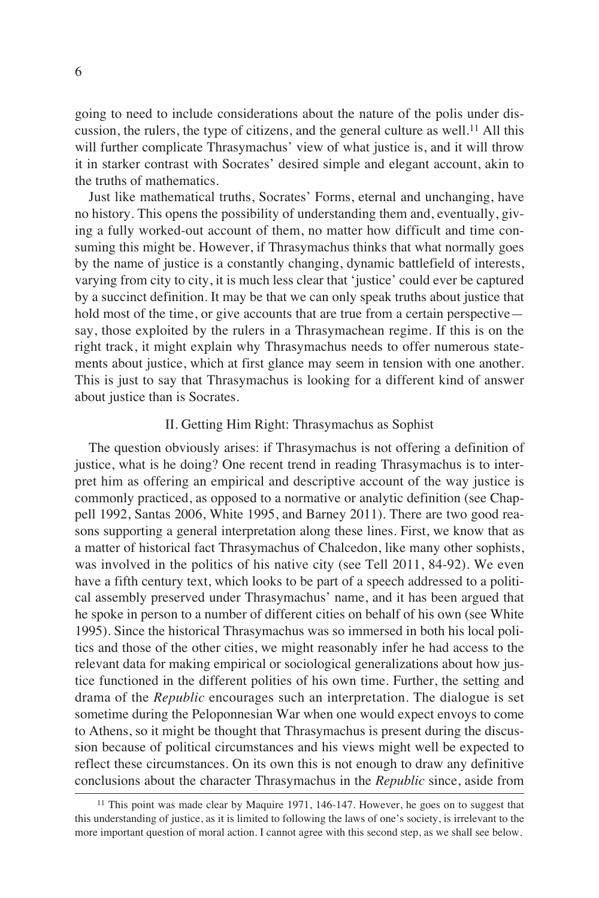going to need to include considerations about the nature of the polis under discussion, the rulers, the type of citizens, and the general culture as well.<sup>11</sup> All this will further complicate Thrasymachus' view of what justice is, and it will throw it in starker contrast with Socrates' desired simple and elegant account, akin to the truths of mathematics.

Just like mathematical truths, Socrates' Forms, eternal and unchanging, have no history. This opens the possibility of understanding them and, eventually, giving a fully worked-out account of them, no matter how difficult and time consuming this might be. However, if Thrasymachus thinks that what normally goes by the name of justice is a constantly changing, dynamic battlefield of interests, varying from city to city, it is much less clear that 'justice' could ever be captured by a succinct definition. It may be that we can only speak truths about justice that hold most of the time, or give accounts that are true from a certain perspective say, those exploited by the rulers in a Thrasymachean regime. If this is on the right track, it might explain why Thrasymachus needs to offer numerous statements about justice, which at first glance may seem in tension with one another. This is just to say that Thrasymachus is looking for a different kind of answer about justice than is Socrates.

### II. Getting Him Right: Thrasymachus as Sophist

The question obviously arises: if Thrasymachus is not offering a definition of justice, what is he doing? One recent trend in reading Thrasymachus is to interpret him as offering an empirical and descriptive account of the way justice is commonly practiced, as opposed to a normative or analytic definition (see Chappell 1992, Santas 2006, White 1995, and Barney 2011). There are two good reasons supporting a general interpretation along these lines. First, we know that as a matter of historical fact Thrasymachus of Chalcedon, like many other sophists, was involved in the politics of his native city (see Tell 2011, 84-92). We even have a fifth century text, which looks to be part of a speech addressed to a political assembly preserved under Thrasymachus' name, and it has been argued that he spoke in person to a number of different cities on behalf of his own (see White 1995). Since the historical Thrasymachus was so immersed in both his local politics and those of the other cities, we might reasonably infer he had access to the relevant data for making empirical or sociological generalizations about how justice functioned in the different polities of his own time. Further, the setting and drama of the *Republic* encourages such an interpretation. The dialogue is set sometime during the Peloponnesian War when one would expect envoys to come to Athens, so it might be thought that Thrasymachus is present during the discussion because of political circumstances and his views might well be expected to reflect these circumstances. On its own this is not enough to draw any definitive conclusions about the character Thrasymachus in the *Republic* since, aside from

<sup>&</sup>lt;sup>11</sup> This point was made clear by Maquire 1971, 146-147. However, he goes on to suggest that this understanding of justice, as it is limited to following the laws of one's society, is irrelevant to the more important question of moral action. I cannot agree with this second step, as we shall see below.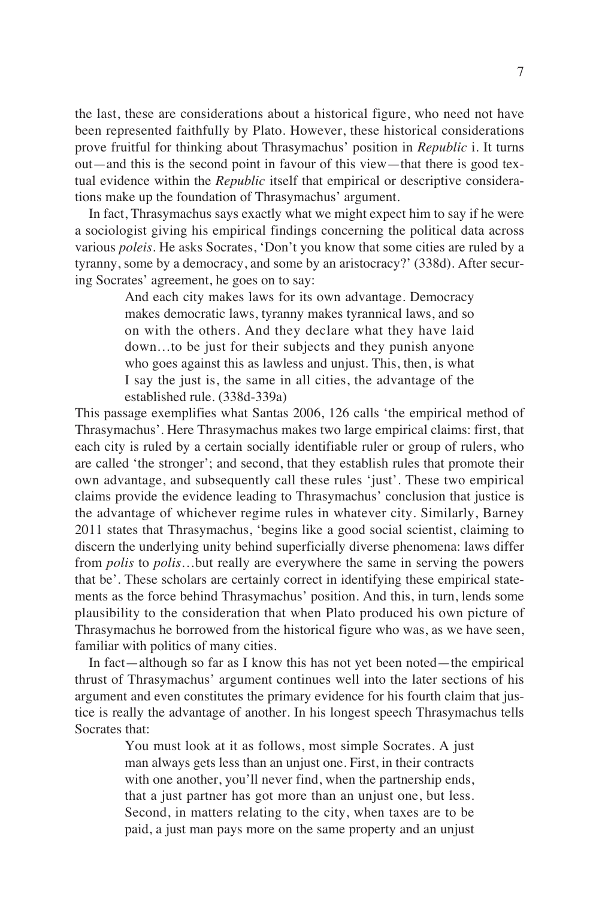the last, these are considerations about a historical figure, who need not have been represented faithfully by Plato. However, these historical considerations prove fruitful for thinking about Thrasymachus' position in *Republic* i. It turns out—and this is the second point in favour of this view—that there is good textual evidence within the *Republic* itself that empirical or descriptive considerations make up the foundation of Thrasymachus' argument.

In fact, Thrasymachus says exactly what we might expect him to say if he were a sociologist giving his empirical findings concerning the political data across various *poleis*. He asks Socrates, 'Don't you know that some cities are ruled by a tyranny, some by a democracy, and some by an aristocracy?' (338d). After securing Socrates' agreement, he goes on to say:

> And each city makes laws for its own advantage. Democracy makes democratic laws, tyranny makes tyrannical laws, and so on with the others. And they declare what they have laid down…to be just for their subjects and they punish anyone who goes against this as lawless and unjust. This, then, is what I say the just is, the same in all cities, the advantage of the established rule. (338d-339a)

This passage exemplifies what Santas 2006, 126 calls 'the empirical method of Thrasymachus'. Here Thrasymachus makes two large empirical claims: first, that each city is ruled by a certain socially identifiable ruler or group of rulers, who are called 'the stronger'; and second, that they establish rules that promote their own advantage, and subsequently call these rules 'just'. These two empirical claims provide the evidence leading to Thrasymachus' conclusion that justice is the advantage of whichever regime rules in whatever city. Similarly, Barney 2011 states that Thrasymachus, 'begins like a good social scientist, claiming to discern the underlying unity behind superficially diverse phenomena: laws differ from *polis* to *polis*…but really are everywhere the same in serving the powers that be'. These scholars are certainly correct in identifying these empirical statements as the force behind Thrasymachus' position. And this, in turn, lends some plausibility to the consideration that when Plato produced his own picture of Thrasymachus he borrowed from the historical figure who was, as we have seen, familiar with politics of many cities.

In fact—although so far as I know this has not yet been noted—the empirical thrust of Thrasymachus' argument continues well into the later sections of his argument and even constitutes the primary evidence for his fourth claim that justice is really the advantage of another. In his longest speech Thrasymachus tells Socrates that:

> You must look at it as follows, most simple Socrates. A just man always gets less than an unjust one. First, in their contracts with one another, you'll never find, when the partnership ends, that a just partner has got more than an unjust one, but less. Second, in matters relating to the city, when taxes are to be paid, a just man pays more on the same property and an unjust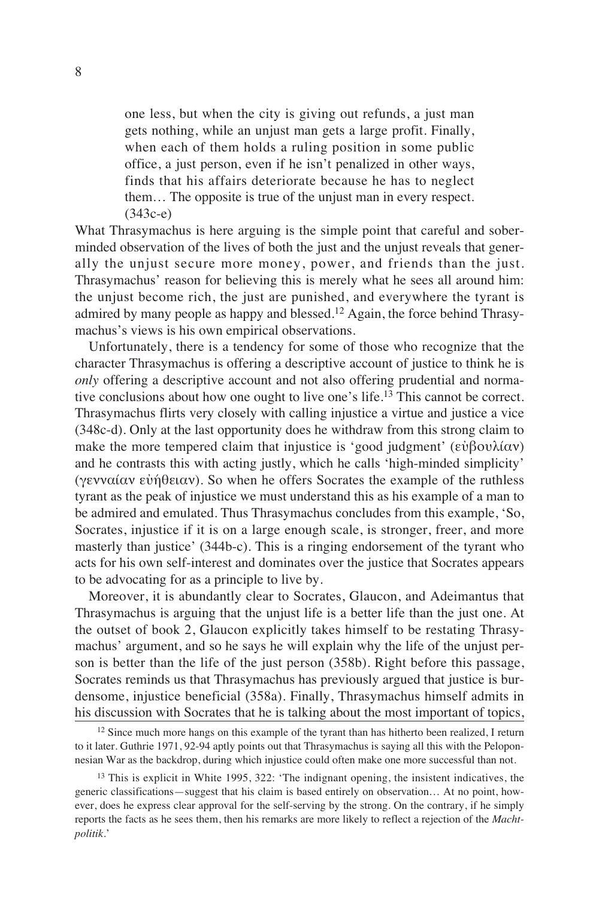one less, but when the city is giving out refunds, a just man gets nothing, while an unjust man gets a large profit. Finally, when each of them holds a ruling position in some public office, a just person, even if he isn't penalized in other ways, finds that his affairs deteriorate because he has to neglect them… The opposite is true of the unjust man in every respect. (343c-e)

What Thrasymachus is here arguing is the simple point that careful and soberminded observation of the lives of both the just and the unjust reveals that generally the unjust secure more money, power, and friends than the just. Thrasymachus' reason for believing this is merely what he sees all around him: the unjust become rich, the just are punished, and everywhere the tyrant is admired by many people as happy and blessed.<sup>12</sup> Again, the force behind Thrasymachus's views is his own empirical observations.

Unfortunately, there is a tendency for some of those who recognize that the character Thrasymachus is offering a descriptive account of justice to think he is *only* offering a descriptive account and not also offering prudential and normative conclusions about how one ought to live one's life.<sup>13</sup> This cannot be correct. Thrasymachus flirts very closely with calling injustice a virtue and justice a vice (348c-d). Only at the last opportunity does he withdraw from this strong claim to make the more tempered claim that injustice is 'good judgment' (εὐβουλίαν) and he contrasts this with acting justly, which he calls 'high-minded simplicity' (γενναίαν εὐήθειαν). So when he offers Socrates the example of the ruthless tyrant as the peak of injustice we must understand this as his example of a man to be admired and emulated. Thus Thrasymachus concludes from this example, 'So, Socrates, injustice if it is on a large enough scale, is stronger, freer, and more masterly than justice' (344b-c). This is a ringing endorsement of the tyrant who acts for his own self-interest and dominates over the justice that Socrates appears to be advocating for as a principle to live by.

Moreover, it is abundantly clear to Socrates, Glaucon, and Adeimantus that Thrasymachus is arguing that the unjust life is a better life than the just one. At the outset of book 2, Glaucon explicitly takes himself to be restating Thrasymachus' argument, and so he says he will explain why the life of the unjust person is better than the life of the just person (358b). Right before this passage, Socrates reminds us that Thrasymachus has previously argued that justice is burdensome, injustice beneficial (358a). Finally, Thrasymachus himself admits in his discussion with Socrates that he is talking about the most important of topics,

 $12$  Since much more hangs on this example of the tyrant than has hitherto been realized, I return to it later. Guthrie 1971, 92-94 aptly points out that Thrasymachus is saying all this with the Peloponnesian War as the backdrop, during which injustice could often make one more successful than not.

<sup>&</sup>lt;sup>13</sup> This is explicit in White 1995, 322: 'The indignant opening, the insistent indicatives, the generic classifications—suggest that his claim is based entirely on observation… At no point, however, does he express clear approval for the self-serving by the strong. On the contrary, if he simply reports the facts as he sees them, then his remarks are more likely to reflect a rejection of the *Machtpolitik*.'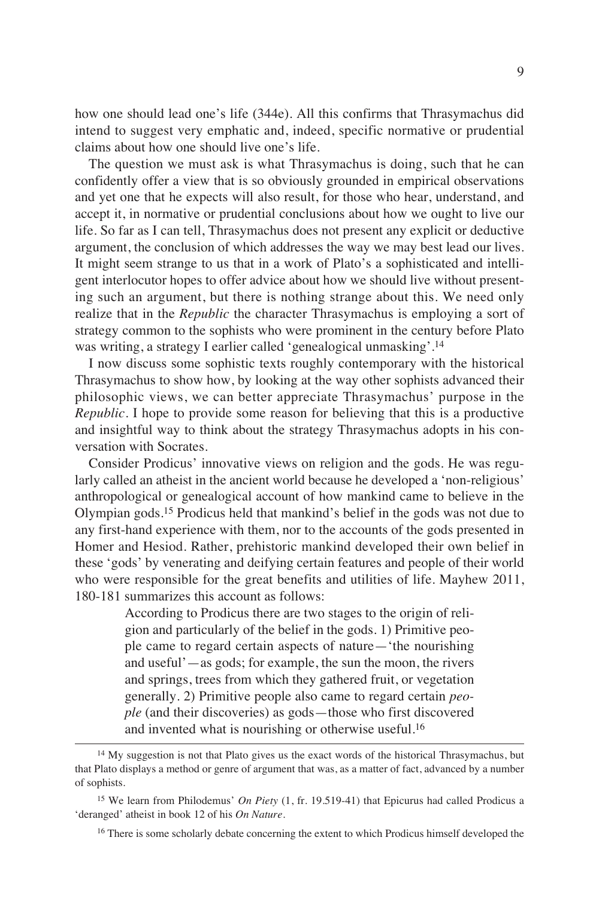how one should lead one's life (344e). All this confirms that Thrasymachus did intend to suggest very emphatic and, indeed, specific normative or prudential claims about how one should live one's life.

The question we must ask is what Thrasymachus is doing, such that he can confidently offer a view that is so obviously grounded in empirical observations and yet one that he expects will also result, for those who hear, understand, and accept it, in normative or prudential conclusions about how we ought to live our life. So far as I can tell, Thrasymachus does not present any explicit or deductive argument, the conclusion of which addresses the way we may best lead our lives. It might seem strange to us that in a work of Plato's a sophisticated and intelligent interlocutor hopes to offer advice about how we should live without presenting such an argument, but there is nothing strange about this. We need only realize that in the *Republic* the character Thrasymachus is employing a sort of strategy common to the sophists who were prominent in the century before Plato was writing, a strategy I earlier called 'genealogical unmasking'.<sup>14</sup>

I now discuss some sophistic texts roughly contemporary with the historical Thrasymachus to show how, by looking at the way other sophists advanced their philosophic views, we can better appreciate Thrasymachus' purpose in the *Republic*. I hope to provide some reason for believing that this is a productive and insightful way to think about the strategy Thrasymachus adopts in his conversation with Socrates.

Consider Prodicus' innovative views on religion and the gods. He was regularly called an atheist in the ancient world because he developed a 'non-religious' anthropological or genealogical account of how mankind came to believe in the Olympian gods.<sup>15</sup> Prodicus held that mankind's belief in the gods was not due to any first-hand experience with them, nor to the accounts of the gods presented in Homer and Hesiod. Rather, prehistoric mankind developed their own belief in these 'gods' by venerating and deifying certain features and people of their world who were responsible for the great benefits and utilities of life. Mayhew 2011, 180-181 summarizes this account as follows:

> According to Prodicus there are two stages to the origin of religion and particularly of the belief in the gods. 1) Primitive people came to regard certain aspects of nature—'the nourishing and useful'—as gods; for example, the sun the moon, the rivers and springs, trees from which they gathered fruit, or vegetation generally. 2) Primitive people also came to regard certain *people* (and their discoveries) as gods—those who first discovered and invented what is nourishing or otherwise useful.<sup>16</sup>

<sup>&</sup>lt;sup>14</sup> My suggestion is not that Plato gives us the exact words of the historical Thrasymachus, but that Plato displays a method or genre of argument that was, as a matter of fact, advanced by a number of sophists.

<sup>15</sup> We learn from Philodemus' *On Piety* (1, fr. 19.519-41) that Epicurus had called Prodicus a 'deranged' atheist in book 12 of his *On Nature*.

<sup>&</sup>lt;sup>16</sup> There is some scholarly debate concerning the extent to which Prodicus himself developed the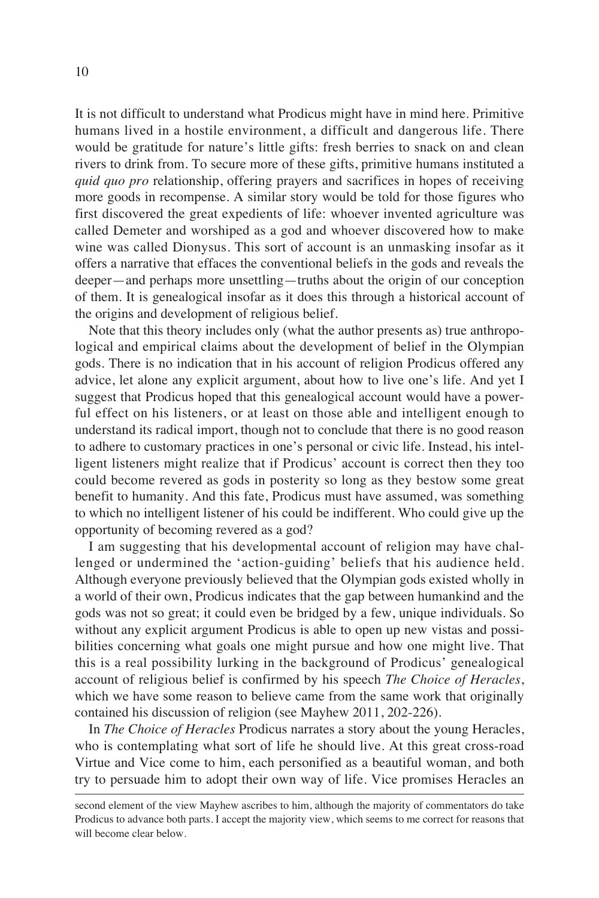It is not difficult to understand what Prodicus might have in mind here. Primitive humans lived in a hostile environment, a difficult and dangerous life. There would be gratitude for nature's little gifts: fresh berries to snack on and clean rivers to drink from. To secure more of these gifts, primitive humans instituted a *quid quo pro* relationship, offering prayers and sacrifices in hopes of receiving more goods in recompense. A similar story would be told for those figures who first discovered the great expedients of life: whoever invented agriculture was called Demeter and worshiped as a god and whoever discovered how to make wine was called Dionysus. This sort of account is an unmasking insofar as it offers a narrative that effaces the conventional beliefs in the gods and reveals the deeper—and perhaps more unsettling—truths about the origin of our conception of them. It is genealogical insofar as it does this through a historical account of the origins and development of religious belief.

Note that this theory includes only (what the author presents as) true anthropological and empirical claims about the development of belief in the Olympian gods. There is no indication that in his account of religion Prodicus offered any advice, let alone any explicit argument, about how to live one's life. And yet I suggest that Prodicus hoped that this genealogical account would have a powerful effect on his listeners, or at least on those able and intelligent enough to understand its radical import, though not to conclude that there is no good reason to adhere to customary practices in one's personal or civic life. Instead, his intelligent listeners might realize that if Prodicus' account is correct then they too could become revered as gods in posterity so long as they bestow some great benefit to humanity. And this fate, Prodicus must have assumed, was something to which no intelligent listener of his could be indifferent. Who could give up the opportunity of becoming revered as a god?

I am suggesting that his developmental account of religion may have challenged or undermined the 'action-guiding' beliefs that his audience held. Although everyone previously believed that the Olympian gods existed wholly in a world of their own, Prodicus indicates that the gap between humankind and the gods was not so great; it could even be bridged by a few, unique individuals. So without any explicit argument Prodicus is able to open up new vistas and possibilities concerning what goals one might pursue and how one might live. That this is a real possibility lurking in the background of Prodicus' genealogical account of religious belief is confirmed by his speech *The Choice of Heracles*, which we have some reason to believe came from the same work that originally contained his discussion of religion (see Mayhew 2011, 202-226).

In *The Choice of Heracles* Prodicus narrates a story about the young Heracles, who is contemplating what sort of life he should live. At this great cross-road Virtue and Vice come to him, each personified as a beautiful woman, and both try to persuade him to adopt their own way of life. Vice promises Heracles an

second element of the view Mayhew ascribes to him, although the majority of commentators do take Prodicus to advance both parts. I accept the majority view, which seems to me correct for reasons that will become clear below.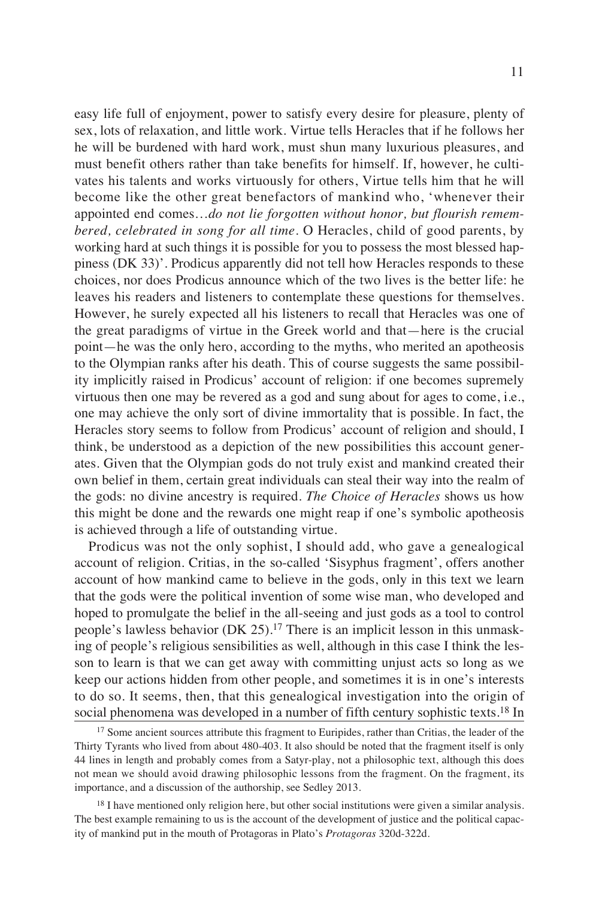easy life full of enjoyment, power to satisfy every desire for pleasure, plenty of sex, lots of relaxation, and little work. Virtue tells Heracles that if he follows her he will be burdened with hard work, must shun many luxurious pleasures, and must benefit others rather than take benefits for himself. If, however, he cultivates his talents and works virtuously for others, Virtue tells him that he will become like the other great benefactors of mankind who, 'whenever their appointed end comes…*do not lie forgotten without honor, but flourish remembered, celebrated in song for all time*. O Heracles, child of good parents, by working hard at such things it is possible for you to possess the most blessed happiness (DK 33)'. Prodicus apparently did not tell how Heracles responds to these choices, nor does Prodicus announce which of the two lives is the better life: he leaves his readers and listeners to contemplate these questions for themselves. However, he surely expected all his listeners to recall that Heracles was one of the great paradigms of virtue in the Greek world and that—here is the crucial point—he was the only hero, according to the myths, who merited an apotheosis to the Olympian ranks after his death. This of course suggests the same possibility implicitly raised in Prodicus' account of religion: if one becomes supremely virtuous then one may be revered as a god and sung about for ages to come, i.e., one may achieve the only sort of divine immortality that is possible. In fact, the Heracles story seems to follow from Prodicus' account of religion and should, I think, be understood as a depiction of the new possibilities this account generates. Given that the Olympian gods do not truly exist and mankind created their own belief in them, certain great individuals can steal their way into the realm of the gods: no divine ancestry is required. *The Choice of Heracles* shows us how this might be done and the rewards one might reap if one's symbolic apotheosis is achieved through a life of outstanding virtue.

Prodicus was not the only sophist, I should add, who gave a genealogical account of religion. Critias, in the so-called 'Sisyphus fragment', offers another account of how mankind came to believe in the gods, only in this text we learn that the gods were the political invention of some wise man, who developed and hoped to promulgate the belief in the all-seeing and just gods as a tool to control people's lawless behavior (DK 25).<sup>17</sup> There is an implicit lesson in this unmasking of people's religious sensibilities as well, although in this case I think the lesson to learn is that we can get away with committing unjust acts so long as we keep our actions hidden from other people, and sometimes it is in one's interests to do so. It seems, then, that this genealogical investigation into the origin of social phenomena was developed in a number of fifth century sophistic texts.<sup>18</sup> In

<sup>&</sup>lt;sup>17</sup> Some ancient sources attribute this fragment to Euripides, rather than Critias, the leader of the Thirty Tyrants who lived from about 480-403. It also should be noted that the fragment itself is only 44 lines in length and probably comes from a Satyr-play, not a philosophic text, although this does not mean we should avoid drawing philosophic lessons from the fragment. On the fragment, its importance, and a discussion of the authorship, see Sedley 2013.

<sup>&</sup>lt;sup>18</sup> I have mentioned only religion here, but other social institutions were given a similar analysis. The best example remaining to us is the account of the development of justice and the political capacity of mankind put in the mouth of Protagoras in Plato's *Protagoras* 320d-322d.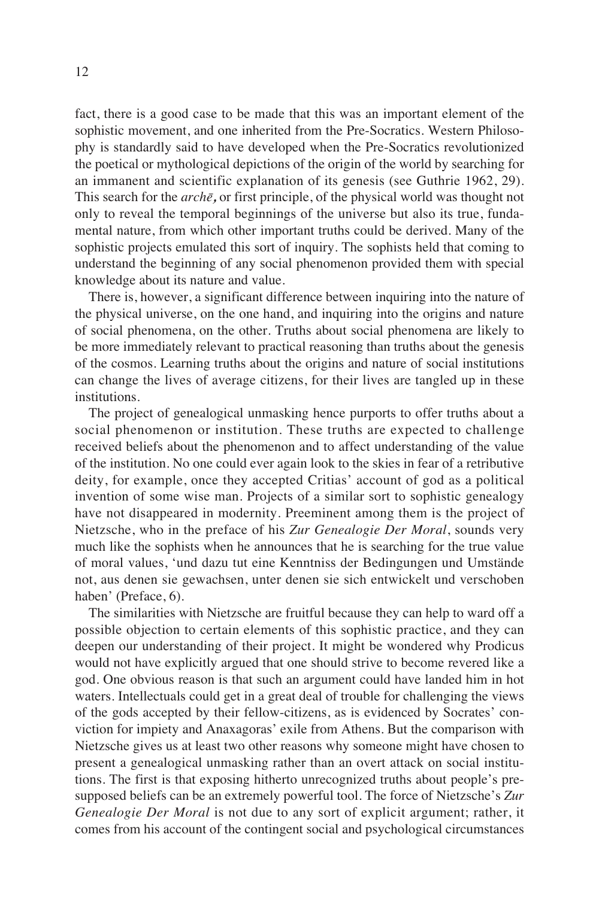fact, there is a good case to be made that this was an important element of the sophistic movement, and one inherited from the Pre-Socratics. Western Philosophy is standardly said to have developed when the Pre-Socratics revolutionized the poetical or mythological depictions of the origin of the world by searching for an immanent and scientific explanation of its genesis (see Guthrie 1962, 29). This search for the  $arch\bar{e}$ , or first principle, of the physical world was thought not only to reveal the temporal beginnings of the universe but also its true, fundamental nature, from which other important truths could be derived. Many of the sophistic projects emulated this sort of inquiry. The sophists held that coming to understand the beginning of any social phenomenon provided them with special knowledge about its nature and value.

There is, however, a significant difference between inquiring into the nature of the physical universe, on the one hand, and inquiring into the origins and nature of social phenomena, on the other. Truths about social phenomena are likely to be more immediately relevant to practical reasoning than truths about the genesis of the cosmos. Learning truths about the origins and nature of social institutions can change the lives of average citizens, for their lives are tangled up in these institutions.

The project of genealogical unmasking hence purports to offer truths about a social phenomenon or institution. These truths are expected to challenge received beliefs about the phenomenon and to affect understanding of the value of the institution. No one could ever again look to the skies in fear of a retributive deity, for example, once they accepted Critias' account of god as a political invention of some wise man. Projects of a similar sort to sophistic genealogy have not disappeared in modernity. Preeminent among them is the project of Nietzsche, who in the preface of his *Zur Genealogie Der Moral*, sounds very much like the sophists when he announces that he is searching for the true value of moral values, 'und dazu tut eine Kenntniss der Bedingungen und Umstände not, aus denen sie gewachsen, unter denen sie sich entwickelt und verschoben haben' (Preface, 6).

The similarities with Nietzsche are fruitful because they can help to ward off a possible objection to certain elements of this sophistic practice, and they can deepen our understanding of their project. It might be wondered why Prodicus would not have explicitly argued that one should strive to become revered like a god. One obvious reason is that such an argument could have landed him in hot waters. Intellectuals could get in a great deal of trouble for challenging the views of the gods accepted by their fellow-citizens, as is evidenced by Socrates' conviction for impiety and Anaxagoras' exile from Athens. But the comparison with Nietzsche gives us at least two other reasons why someone might have chosen to present a genealogical unmasking rather than an overt attack on social institutions. The first is that exposing hitherto unrecognized truths about people's presupposed beliefs can be an extremely powerful tool. The force of Nietzsche's *Zur Genealogie Der Moral* is not due to any sort of explicit argument; rather, it comes from his account of the contingent social and psychological circumstances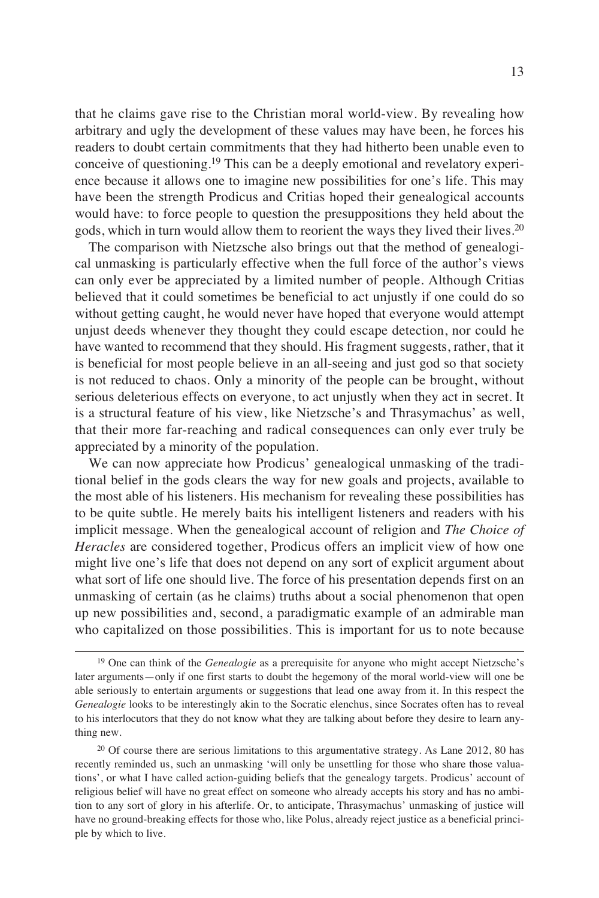that he claims gave rise to the Christian moral world-view. By revealing how arbitrary and ugly the development of these values may have been, he forces his readers to doubt certain commitments that they had hitherto been unable even to conceive of questioning.<sup>19</sup> This can be a deeply emotional and revelatory experience because it allows one to imagine new possibilities for one's life. This may have been the strength Prodicus and Critias hoped their genealogical accounts would have: to force people to question the presuppositions they held about the gods, which in turn would allow them to reorient the ways they lived their lives.<sup>20</sup>

The comparison with Nietzsche also brings out that the method of genealogical unmasking is particularly effective when the full force of the author's views can only ever be appreciated by a limited number of people. Although Critias believed that it could sometimes be beneficial to act unjustly if one could do so without getting caught, he would never have hoped that everyone would attempt unjust deeds whenever they thought they could escape detection, nor could he have wanted to recommend that they should. His fragment suggests, rather, that it is beneficial for most people believe in an all-seeing and just god so that society is not reduced to chaos. Only a minority of the people can be brought, without serious deleterious effects on everyone, to act unjustly when they act in secret. It is a structural feature of his view, like Nietzsche's and Thrasymachus' as well, that their more far-reaching and radical consequences can only ever truly be appreciated by a minority of the population.

We can now appreciate how Prodicus' genealogical unmasking of the traditional belief in the gods clears the way for new goals and projects, available to the most able of his listeners. His mechanism for revealing these possibilities has to be quite subtle. He merely baits his intelligent listeners and readers with his implicit message. When the genealogical account of religion and *The Choice of Heracles* are considered together, Prodicus offers an implicit view of how one might live one's life that does not depend on any sort of explicit argument about what sort of life one should live. The force of his presentation depends first on an unmasking of certain (as he claims) truths about a social phenomenon that open up new possibilities and, second, a paradigmatic example of an admirable man who capitalized on those possibilities. This is important for us to note because

<sup>19</sup> One can think of the *Genealogie* as a prerequisite for anyone who might accept Nietzsche's later arguments—only if one first starts to doubt the hegemony of the moral world-view will one be able seriously to entertain arguments or suggestions that lead one away from it. In this respect the *Genealogie* looks to be interestingly akin to the Socratic elenchus, since Socrates often has to reveal to his interlocutors that they do not know what they are talking about before they desire to learn anything new.

<sup>&</sup>lt;sup>20</sup> Of course there are serious limitations to this argumentative strategy. As Lane 2012, 80 has recently reminded us, such an unmasking 'will only be unsettling for those who share those valuations', or what I have called action-guiding beliefs that the genealogy targets. Prodicus' account of religious belief will have no great effect on someone who already accepts his story and has no ambition to any sort of glory in his afterlife. Or, to anticipate, Thrasymachus' unmasking of justice will have no ground-breaking effects for those who, like Polus, already reject justice as a beneficial principle by which to live.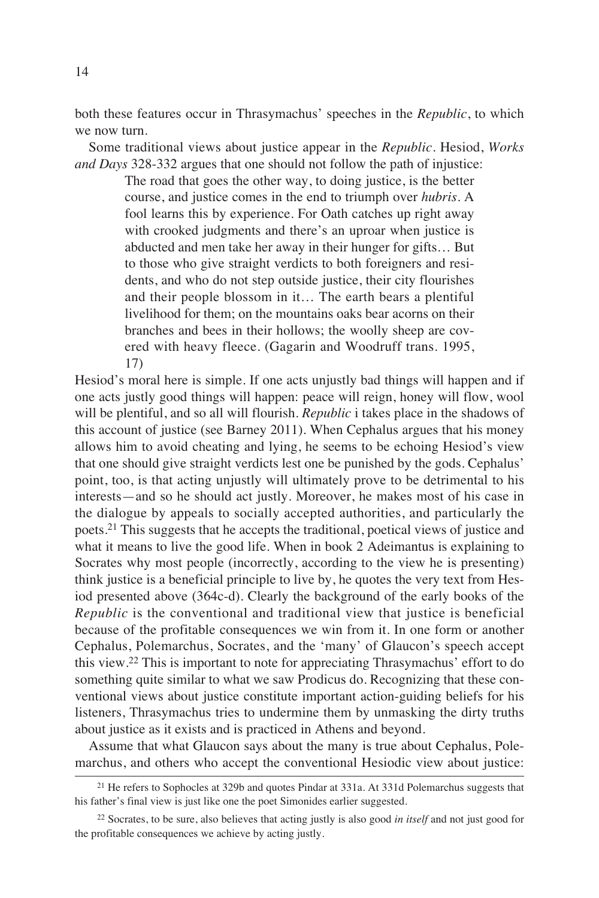both these features occur in Thrasymachus' speeches in the *Republic*, to which we now turn.

Some traditional views about justice appear in the *Republic*. Hesiod, *Works and Days* 328-332 argues that one should not follow the path of injustice:

> The road that goes the other way, to doing justice, is the better course, and justice comes in the end to triumph over *hubris*. A fool learns this by experience. For Oath catches up right away with crooked judgments and there's an uproar when justice is abducted and men take her away in their hunger for gifts… But to those who give straight verdicts to both foreigners and residents, and who do not step outside justice, their city flourishes and their people blossom in it… The earth bears a plentiful livelihood for them; on the mountains oaks bear acorns on their branches and bees in their hollows; the woolly sheep are covered with heavy fleece. (Gagarin and Woodruff trans. 1995, 17)

Hesiod's moral here is simple. If one acts unjustly bad things will happen and if one acts justly good things will happen: peace will reign, honey will flow, wool will be plentiful, and so all will flourish. *Republic* i takes place in the shadows of this account of justice (see Barney 2011). When Cephalus argues that his money allows him to avoid cheating and lying, he seems to be echoing Hesiod's view that one should give straight verdicts lest one be punished by the gods. Cephalus' point, too, is that acting unjustly will ultimately prove to be detrimental to his interests—and so he should act justly. Moreover, he makes most of his case in the dialogue by appeals to socially accepted authorities, and particularly the poets.<sup>21</sup> This suggests that he accepts the traditional, poetical views of justice and what it means to live the good life. When in book 2 Adeimantus is explaining to Socrates why most people (incorrectly, according to the view he is presenting) think justice is a beneficial principle to live by, he quotes the very text from Hesiod presented above (364c-d). Clearly the background of the early books of the *Republic* is the conventional and traditional view that justice is beneficial because of the profitable consequences we win from it. In one form or another Cephalus, Polemarchus, Socrates, and the 'many' of Glaucon's speech accept this view.<sup>22</sup> This is important to note for appreciating Thrasymachus' effort to do something quite similar to what we saw Prodicus do. Recognizing that these conventional views about justice constitute important action-guiding beliefs for his listeners, Thrasymachus tries to undermine them by unmasking the dirty truths about justice as it exists and is practiced in Athens and beyond.

Assume that what Glaucon says about the many is true about Cephalus, Polemarchus, and others who accept the conventional Hesiodic view about justice:

<sup>&</sup>lt;sup>21</sup> He refers to Sophocles at 329b and quotes Pindar at 331a. At 331d Polemarchus suggests that his father's final view is just like one the poet Simonides earlier suggested.

<sup>22</sup> Socrates, to be sure, also believes that acting justly is also good *in itself* and not just good for the profitable consequences we achieve by acting justly.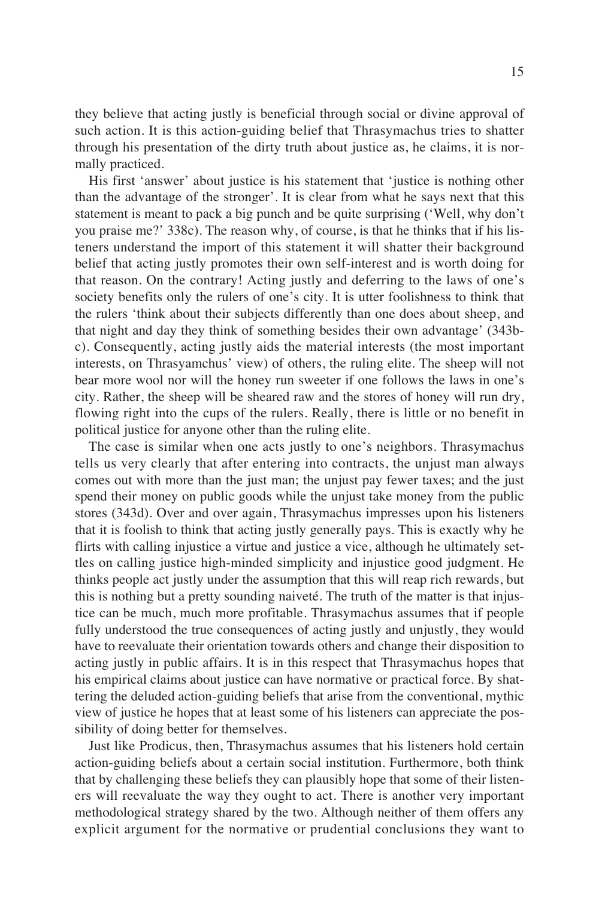they believe that acting justly is beneficial through social or divine approval of such action. It is this action-guiding belief that Thrasymachus tries to shatter through his presentation of the dirty truth about justice as, he claims, it is normally practiced.

His first 'answer' about justice is his statement that 'justice is nothing other than the advantage of the stronger'. It is clear from what he says next that this statement is meant to pack a big punch and be quite surprising ('Well, why don't you praise me?' 338c). The reason why, of course, is that he thinks that if his listeners understand the import of this statement it will shatter their background belief that acting justly promotes their own self-interest and is worth doing for that reason. On the contrary! Acting justly and deferring to the laws of one's society benefits only the rulers of one's city. It is utter foolishness to think that the rulers 'think about their subjects differently than one does about sheep, and that night and day they think of something besides their own advantage' (343bc). Consequently, acting justly aids the material interests (the most important interests, on Thrasyamchus' view) of others, the ruling elite. The sheep will not bear more wool nor will the honey run sweeter if one follows the laws in one's city. Rather, the sheep will be sheared raw and the stores of honey will run dry, flowing right into the cups of the rulers. Really, there is little or no benefit in political justice for anyone other than the ruling elite.

The case is similar when one acts justly to one's neighbors. Thrasymachus tells us very clearly that after entering into contracts, the unjust man always comes out with more than the just man; the unjust pay fewer taxes; and the just spend their money on public goods while the unjust take money from the public stores (343d). Over and over again, Thrasymachus impresses upon his listeners that it is foolish to think that acting justly generally pays. This is exactly why he flirts with calling injustice a virtue and justice a vice, although he ultimately settles on calling justice high-minded simplicity and injustice good judgment. He thinks people act justly under the assumption that this will reap rich rewards, but this is nothing but a pretty sounding naiveté. The truth of the matter is that injustice can be much, much more profitable. Thrasymachus assumes that if people fully understood the true consequences of acting justly and unjustly, they would have to reevaluate their orientation towards others and change their disposition to acting justly in public affairs. It is in this respect that Thrasymachus hopes that his empirical claims about justice can have normative or practical force. By shattering the deluded action-guiding beliefs that arise from the conventional, mythic view of justice he hopes that at least some of his listeners can appreciate the possibility of doing better for themselves.

Just like Prodicus, then, Thrasymachus assumes that his listeners hold certain action-guiding beliefs about a certain social institution. Furthermore, both think that by challenging these beliefs they can plausibly hope that some of their listeners will reevaluate the way they ought to act. There is another very important methodological strategy shared by the two. Although neither of them offers any explicit argument for the normative or prudential conclusions they want to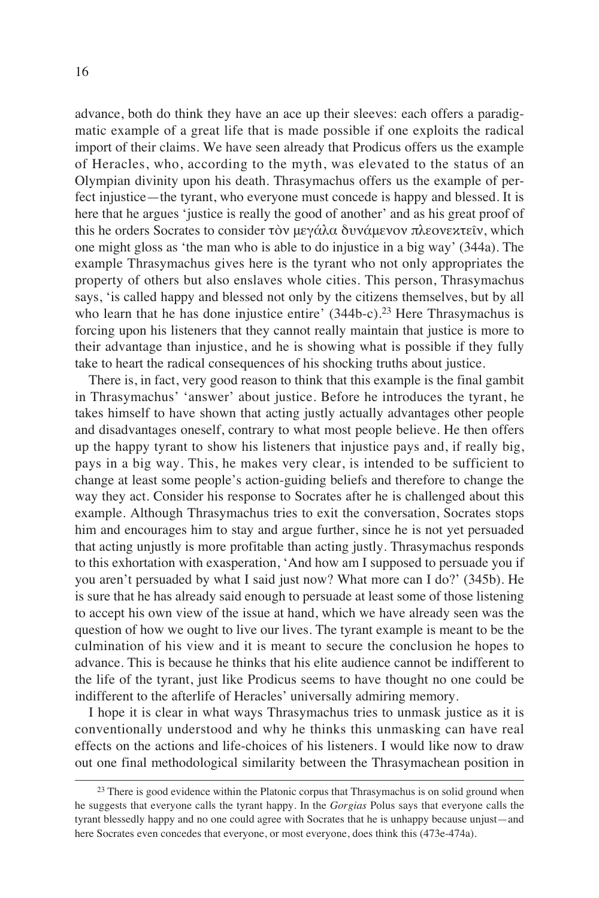advance, both do think they have an ace up their sleeves: each offers a paradigmatic example of a great life that is made possible if one exploits the radical import of their claims. We have seen already that Prodicus offers us the example of Heracles, who, according to the myth, was elevated to the status of an Olympian divinity upon his death. Thrasymachus offers us the example of perfect injustice—the tyrant, who everyone must concede is happy and blessed. It is here that he argues 'justice is really the good of another' and as his great proof of this he orders Socrates to consider τὸν μεγάλα δυνάμενον πλεονεκτεῖν, which one might gloss as 'the man who is able to do injustice in a big way' (344a). The example Thrasymachus gives here is the tyrant who not only appropriates the property of others but also enslaves whole cities. This person, Thrasymachus says, 'is called happy and blessed not only by the citizens themselves, but by all who learn that he has done injustice entire' (344b-c).<sup>23</sup> Here Thrasymachus is forcing upon his listeners that they cannot really maintain that justice is more to their advantage than injustice, and he is showing what is possible if they fully take to heart the radical consequences of his shocking truths about justice.

There is, in fact, very good reason to think that this example is the final gambit in Thrasymachus' 'answer' about justice. Before he introduces the tyrant, he takes himself to have shown that acting justly actually advantages other people and disadvantages oneself, contrary to what most people believe. He then offers up the happy tyrant to show his listeners that injustice pays and, if really big, pays in a big way. This, he makes very clear, is intended to be sufficient to change at least some people's action-guiding beliefs and therefore to change the way they act. Consider his response to Socrates after he is challenged about this example. Although Thrasymachus tries to exit the conversation, Socrates stops him and encourages him to stay and argue further, since he is not yet persuaded that acting unjustly is more profitable than acting justly. Thrasymachus responds to this exhortation with exasperation, 'And how am I supposed to persuade you if you aren't persuaded by what I said just now? What more can I do?' (345b). He is sure that he has already said enough to persuade at least some of those listening to accept his own view of the issue at hand, which we have already seen was the question of how we ought to live our lives. The tyrant example is meant to be the culmination of his view and it is meant to secure the conclusion he hopes to advance. This is because he thinks that his elite audience cannot be indifferent to the life of the tyrant, just like Prodicus seems to have thought no one could be indifferent to the afterlife of Heracles' universally admiring memory.

I hope it is clear in what ways Thrasymachus tries to unmask justice as it is conventionally understood and why he thinks this unmasking can have real effects on the actions and life-choices of his listeners. I would like now to draw out one final methodological similarity between the Thrasymachean position in

 $23$  There is good evidence within the Platonic corpus that Thrasymachus is on solid ground when he suggests that everyone calls the tyrant happy. In the *Gorgias* Polus says that everyone calls the tyrant blessedly happy and no one could agree with Socrates that he is unhappy because unjust—and here Socrates even concedes that everyone, or most everyone, does think this (473e-474a).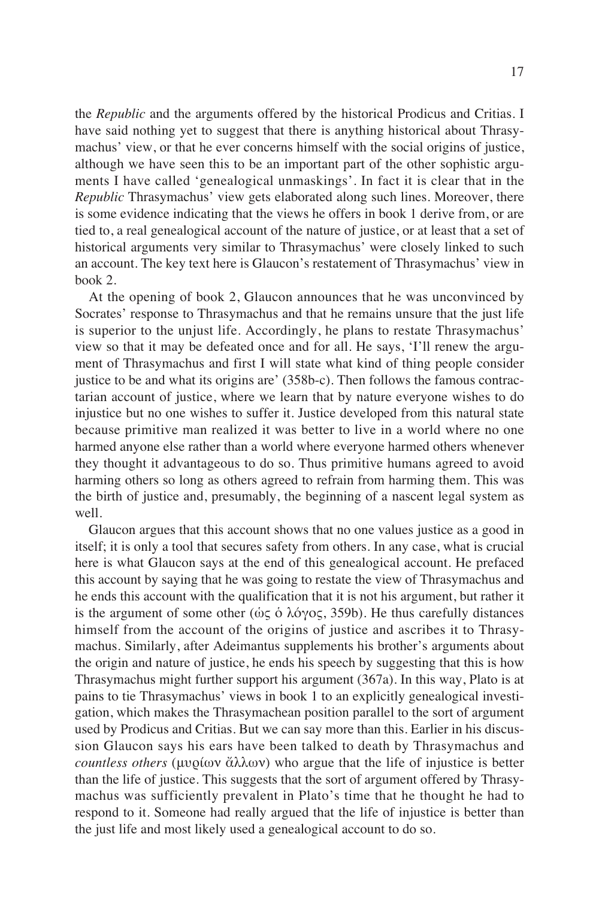the *Republic* and the arguments offered by the historical Prodicus and Critias. I have said nothing yet to suggest that there is anything historical about Thrasymachus' view, or that he ever concerns himself with the social origins of justice, although we have seen this to be an important part of the other sophistic arguments I have called 'genealogical unmaskings'. In fact it is clear that in the *Republic* Thrasymachus' view gets elaborated along such lines. Moreover, there is some evidence indicating that the views he offers in book 1 derive from, or are tied to, a real genealogical account of the nature of justice, or at least that a set of historical arguments very similar to Thrasymachus' were closely linked to such an account. The key text here is Glaucon's restatement of Thrasymachus' view in book 2.

At the opening of book 2, Glaucon announces that he was unconvinced by Socrates' response to Thrasymachus and that he remains unsure that the just life is superior to the unjust life. Accordingly, he plans to restate Thrasymachus' view so that it may be defeated once and for all. He says, 'I'll renew the argument of Thrasymachus and first I will state what kind of thing people consider justice to be and what its origins are' (358b-c). Then follows the famous contractarian account of justice, where we learn that by nature everyone wishes to do injustice but no one wishes to suffer it. Justice developed from this natural state because primitive man realized it was better to live in a world where no one harmed anyone else rather than a world where everyone harmed others whenever they thought it advantageous to do so. Thus primitive humans agreed to avoid harming others so long as others agreed to refrain from harming them. This was the birth of justice and, presumably, the beginning of a nascent legal system as well.

Glaucon argues that this account shows that no one values justice as a good in itself; it is only a tool that secures safety from others. In any case, what is crucial here is what Glaucon says at the end of this genealogical account. He prefaced this account by saying that he was going to restate the view of Thrasymachus and he ends this account with the qualification that it is not his argument, but rather it is the argument of some other (ώς ὁ λόγος, 359b). He thus carefully distances himself from the account of the origins of justice and ascribes it to Thrasymachus. Similarly, after Adeimantus supplements his brother's arguments about the origin and nature of justice, he ends his speech by suggesting that this is how Thrasymachus might further support his argument (367a). In this way, Plato is at pains to tie Thrasymachus' views in book 1 to an explicitly genealogical investigation, which makes the Thrasymachean position parallel to the sort of argument used by Prodicus and Critias. But we can say more than this. Earlier in his discussion Glaucon says his ears have been talked to death by Thrasymachus and *countless others* (μυρίων ἄλλων) who argue that the life of injustice is better than the life of justice. This suggests that the sort of argument offered by Thrasymachus was sufficiently prevalent in Plato's time that he thought he had to respond to it. Someone had really argued that the life of injustice is better than the just life and most likely used a genealogical account to do so.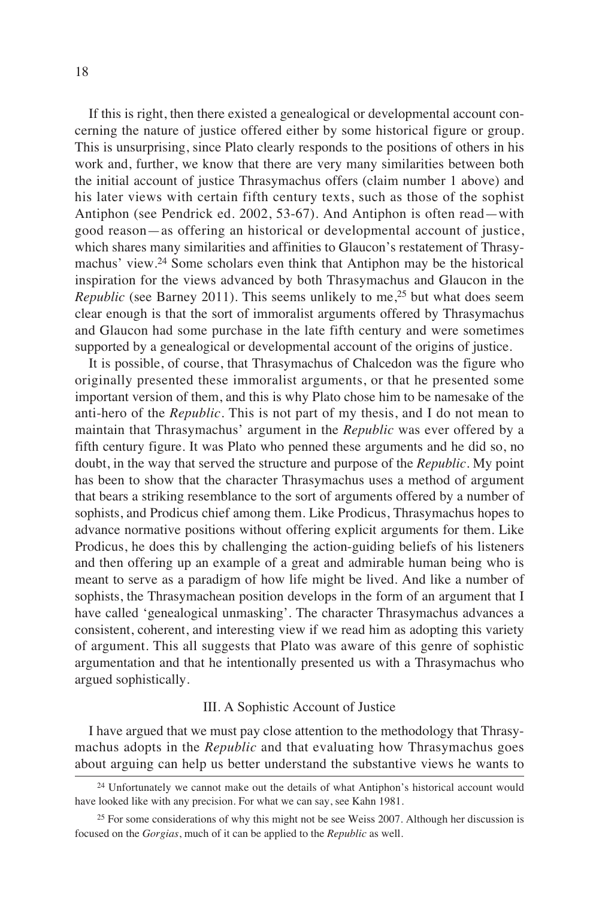If this is right, then there existed a genealogical or developmental account concerning the nature of justice offered either by some historical figure or group. This is unsurprising, since Plato clearly responds to the positions of others in his work and, further, we know that there are very many similarities between both the initial account of justice Thrasymachus offers (claim number 1 above) and his later views with certain fifth century texts, such as those of the sophist Antiphon (see Pendrick ed. 2002, 53-67). And Antiphon is often read—with good reason—as offering an historical or developmental account of justice, which shares many similarities and affinities to Glaucon's restatement of Thrasymachus' view.<sup>24</sup> Some scholars even think that Antiphon may be the historical inspiration for the views advanced by both Thrasymachus and Glaucon in the *Republic* (see Barney 2011). This seems unlikely to me,<sup>25</sup> but what does seem clear enough is that the sort of immoralist arguments offered by Thrasymachus and Glaucon had some purchase in the late fifth century and were sometimes supported by a genealogical or developmental account of the origins of justice.

It is possible, of course, that Thrasymachus of Chalcedon was the figure who originally presented these immoralist arguments, or that he presented some important version of them, and this is why Plato chose him to be namesake of the anti-hero of the *Republic*. This is not part of my thesis, and I do not mean to maintain that Thrasymachus' argument in the *Republic* was ever offered by a fifth century figure. It was Plato who penned these arguments and he did so, no doubt, in the way that served the structure and purpose of the *Republic*. My point has been to show that the character Thrasymachus uses a method of argument that bears a striking resemblance to the sort of arguments offered by a number of sophists, and Prodicus chief among them. Like Prodicus, Thrasymachus hopes to advance normative positions without offering explicit arguments for them. Like Prodicus, he does this by challenging the action-guiding beliefs of his listeners and then offering up an example of a great and admirable human being who is meant to serve as a paradigm of how life might be lived. And like a number of sophists, the Thrasymachean position develops in the form of an argument that I have called 'genealogical unmasking'. The character Thrasymachus advances a consistent, coherent, and interesting view if we read him as adopting this variety of argument. This all suggests that Plato was aware of this genre of sophistic argumentation and that he intentionally presented us with a Thrasymachus who argued sophistically.

### III. A Sophistic Account of Justice

I have argued that we must pay close attention to the methodology that Thrasymachus adopts in the *Republic* and that evaluating how Thrasymachus goes about arguing can help us better understand the substantive views he wants to

<sup>24</sup> Unfortunately we cannot make out the details of what Antiphon's historical account would have looked like with any precision. For what we can say, see Kahn 1981.

 $25$  For some considerations of why this might not be see Weiss 2007. Although her discussion is focused on the *Gorgias*, much of it can be applied to the *Republic* as well.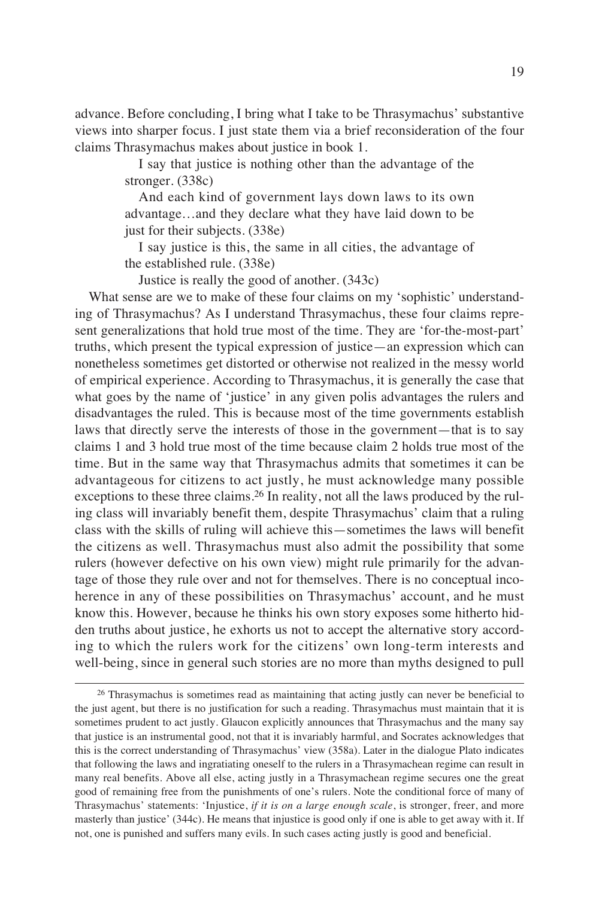advance. Before concluding, I bring what I take to be Thrasymachus' substantive views into sharper focus. I just state them via a brief reconsideration of the four claims Thrasymachus makes about justice in book 1.

> I say that justice is nothing other than the advantage of the stronger. (338c)

> And each kind of government lays down laws to its own advantage…and they declare what they have laid down to be just for their subjects. (338e)

> I say justice is this, the same in all cities, the advantage of the established rule. (338e)

Justice is really the good of another. (343c)

What sense are we to make of these four claims on my 'sophistic' understanding of Thrasymachus? As I understand Thrasymachus, these four claims represent generalizations that hold true most of the time. They are 'for-the-most-part' truths, which present the typical expression of justice—an expression which can nonetheless sometimes get distorted or otherwise not realized in the messy world of empirical experience. According to Thrasymachus, it is generally the case that what goes by the name of 'justice' in any given polis advantages the rulers and disadvantages the ruled. This is because most of the time governments establish laws that directly serve the interests of those in the government—that is to say claims 1 and 3 hold true most of the time because claim 2 holds true most of the time. But in the same way that Thrasymachus admits that sometimes it can be advantageous for citizens to act justly, he must acknowledge many possible exceptions to these three claims.<sup>26</sup> In reality, not all the laws produced by the ruling class will invariably benefit them, despite Thrasymachus' claim that a ruling class with the skills of ruling will achieve this—sometimes the laws will benefit the citizens as well. Thrasymachus must also admit the possibility that some rulers (however defective on his own view) might rule primarily for the advantage of those they rule over and not for themselves. There is no conceptual incoherence in any of these possibilities on Thrasymachus' account, and he must know this. However, because he thinks his own story exposes some hitherto hidden truths about justice, he exhorts us not to accept the alternative story according to which the rulers work for the citizens' own long-term interests and well-being, since in general such stories are no more than myths designed to pull

 $26$  Thrasymachus is sometimes read as maintaining that acting justly can never be beneficial to the just agent, but there is no justification for such a reading. Thrasymachus must maintain that it is sometimes prudent to act justly. Glaucon explicitly announces that Thrasymachus and the many say that justice is an instrumental good, not that it is invariably harmful, and Socrates acknowledges that this is the correct understanding of Thrasymachus' view (358a). Later in the dialogue Plato indicates that following the laws and ingratiating oneself to the rulers in a Thrasymachean regime can result in many real benefits. Above all else, acting justly in a Thrasymachean regime secures one the great good of remaining free from the punishments of one's rulers. Note the conditional force of many of Thrasymachus' statements: 'Injustice, *if it is on a large enough scale*, is stronger, freer, and more masterly than justice' (344c). He means that injustice is good only if one is able to get away with it. If not, one is punished and suffers many evils. In such cases acting justly is good and beneficial.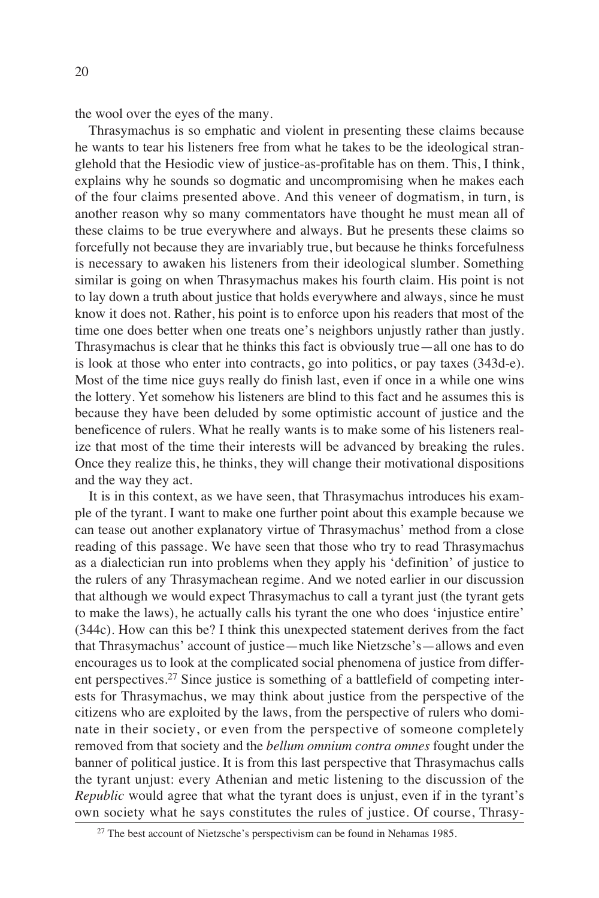the wool over the eyes of the many.

Thrasymachus is so emphatic and violent in presenting these claims because he wants to tear his listeners free from what he takes to be the ideological stranglehold that the Hesiodic view of justice-as-profitable has on them. This, I think, explains why he sounds so dogmatic and uncompromising when he makes each of the four claims presented above. And this veneer of dogmatism, in turn, is another reason why so many commentators have thought he must mean all of these claims to be true everywhere and always. But he presents these claims so forcefully not because they are invariably true, but because he thinks forcefulness is necessary to awaken his listeners from their ideological slumber. Something similar is going on when Thrasymachus makes his fourth claim. His point is not to lay down a truth about justice that holds everywhere and always, since he must know it does not. Rather, his point is to enforce upon his readers that most of the time one does better when one treats one's neighbors unjustly rather than justly. Thrasymachus is clear that he thinks this fact is obviously true—all one has to do is look at those who enter into contracts, go into politics, or pay taxes (343d-e). Most of the time nice guys really do finish last, even if once in a while one wins the lottery. Yet somehow his listeners are blind to this fact and he assumes this is because they have been deluded by some optimistic account of justice and the beneficence of rulers. What he really wants is to make some of his listeners realize that most of the time their interests will be advanced by breaking the rules. Once they realize this, he thinks, they will change their motivational dispositions and the way they act.

It is in this context, as we have seen, that Thrasymachus introduces his example of the tyrant. I want to make one further point about this example because we can tease out another explanatory virtue of Thrasymachus' method from a close reading of this passage. We have seen that those who try to read Thrasymachus as a dialectician run into problems when they apply his 'definition' of justice to the rulers of any Thrasymachean regime. And we noted earlier in our discussion that although we would expect Thrasymachus to call a tyrant just (the tyrant gets to make the laws), he actually calls his tyrant the one who does 'injustice entire' (344c). How can this be? I think this unexpected statement derives from the fact that Thrasymachus' account of justice—much like Nietzsche's—allows and even encourages us to look at the complicated social phenomena of justice from different perspectives.<sup>27</sup> Since justice is something of a battlefield of competing interests for Thrasymachus, we may think about justice from the perspective of the citizens who are exploited by the laws, from the perspective of rulers who dominate in their society, or even from the perspective of someone completely removed from that society and the *bellum omnium contra omnes* fought under the banner of political justice. It is from this last perspective that Thrasymachus calls the tyrant unjust: every Athenian and metic listening to the discussion of the *Republic* would agree that what the tyrant does is unjust, even if in the tyrant's own society what he says constitutes the rules of justice. Of course, Thrasy-

<sup>27</sup> The best account of Nietzsche's perspectivism can be found in Nehamas 1985.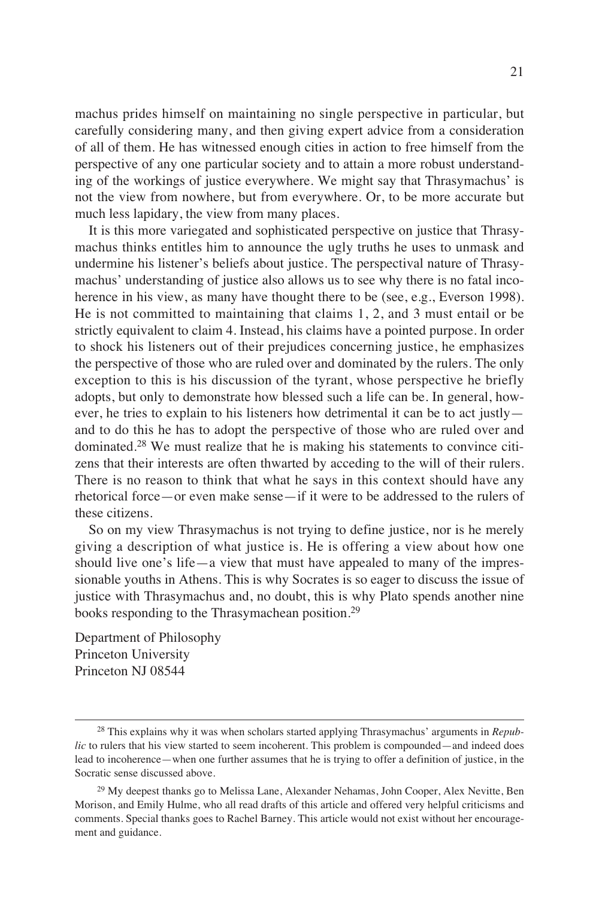machus prides himself on maintaining no single perspective in particular, but carefully considering many, and then giving expert advice from a consideration of all of them. He has witnessed enough cities in action to free himself from the perspective of any one particular society and to attain a more robust understanding of the workings of justice everywhere. We might say that Thrasymachus' is not the view from nowhere, but from everywhere. Or, to be more accurate but much less lapidary, the view from many places.

It is this more variegated and sophisticated perspective on justice that Thrasymachus thinks entitles him to announce the ugly truths he uses to unmask and undermine his listener's beliefs about justice. The perspectival nature of Thrasymachus' understanding of justice also allows us to see why there is no fatal incoherence in his view, as many have thought there to be (see, e.g., Everson 1998). He is not committed to maintaining that claims 1, 2, and 3 must entail or be strictly equivalent to claim 4. Instead, his claims have a pointed purpose. In order to shock his listeners out of their prejudices concerning justice, he emphasizes the perspective of those who are ruled over and dominated by the rulers. The only exception to this is his discussion of the tyrant, whose perspective he briefly adopts, but only to demonstrate how blessed such a life can be. In general, however, he tries to explain to his listeners how detrimental it can be to act justly and to do this he has to adopt the perspective of those who are ruled over and dominated.<sup>28</sup> We must realize that he is making his statements to convince citizens that their interests are often thwarted by acceding to the will of their rulers. There is no reason to think that what he says in this context should have any rhetorical force—or even make sense—if it were to be addressed to the rulers of these citizens.

So on my view Thrasymachus is not trying to define justice, nor is he merely giving a description of what justice is. He is offering a view about how one should live one's life—a view that must have appealed to many of the impressionable youths in Athens. This is why Socrates is so eager to discuss the issue of justice with Thrasymachus and, no doubt, this is why Plato spends another nine books responding to the Thrasymachean position.<sup>29</sup>

Department of Philosophy Princeton University Princeton NJ 08544

<sup>28</sup> This explains why it was when scholars started applying Thrasymachus' arguments in *Republic* to rulers that his view started to seem incoherent. This problem is compounded—and indeed does lead to incoherence—when one further assumes that he is trying to offer a definition of justice, in the Socratic sense discussed above.

<sup>&</sup>lt;sup>29</sup> My deepest thanks go to Melissa Lane, Alexander Nehamas, John Cooper, Alex Nevitte, Ben Morison, and Emily Hulme, who all read drafts of this article and offered very helpful criticisms and comments. Special thanks goes to Rachel Barney. This article would not exist without her encouragement and guidance.